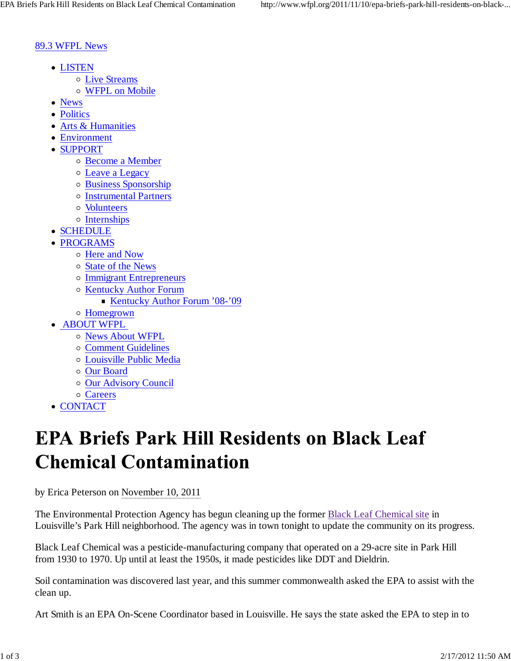## 89.3 WFPL News

- LISTEN
	- Live Streams
	- WFPL on Mobile
- News
- Politics
- Arts & Humanities
- Environment
- SUPPORT
	- Become a Member
	- Leave a Legacy
	- Business Sponsorship
	- Instrumental Partners
	- Volunteers
	- o Internships
- SCHEDULE
- PROGRAMS
	- Here and Now
	- State of the News
	- Immigrant Entrepreneurs
	- o Kentucky Author Forum
		- Kentucky Author Forum '08-'09
	- Homegrown
- ABOUT WFPL
	- o News About WFPL
	- Comment Guidelines
	- Louisville Public Media
	- Our Board
	- o Our Advisory Council
	- Careers
- CONTACT

## **EPA Briefs Park Hill Residents on Black Leaf Chemical Contamination**

by Erica Peterson on November 10, 2011

The Environmental Protection Agency has begun cleaning up the former Black Leaf Chemical site in Louisville's Park Hill neighborhood. The agency was in town tonight to update the community on its progress.

Black Leaf Chemical was a pesticide-manufacturing company that operated on a 29-acre site in Park Hill from 1930 to 1970. Up until at least the 1950s, it made pesticides like DDT and Dieldrin.

Soil contamination was discovered last year, and this summer commonwealth asked the EPA to assist with the clean up.

Art Smith is an EPA On-Scene Coordinator based in Louisville. He says the state asked the EPA to step in to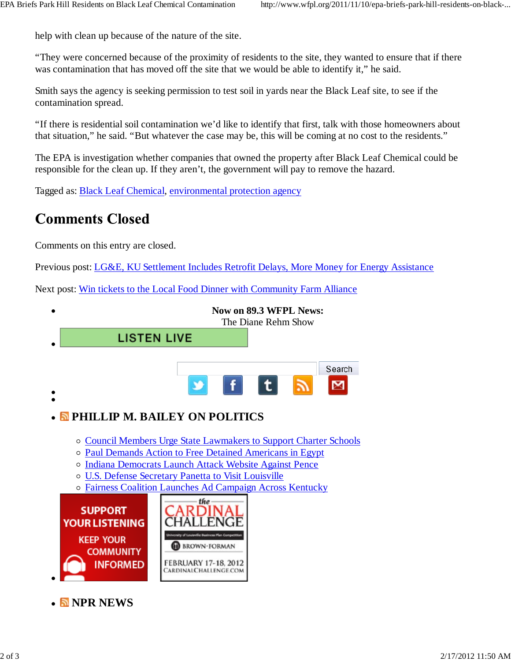help with clean up because of the nature of the site.

"They were concerned because of the proximity of residents to the site, they wanted to ensure that if there was contamination that has moved off the site that we would be able to identify it," he said.

Smith says the agency is seeking permission to test soil in yards near the Black Leaf site, to see if the contamination spread.

"If there is residential soil contamination we'd like to identify that first, talk with those homeowners about that situation," he said. "But whatever the case may be, this will be coming at no cost to the residents."

The EPA is investigation whether companies that owned the property after Black Leaf Chemical could be responsible for the clean up. If they aren't, the government will pay to remove the hazard.

Tagged as: Black Leaf Chemical, environmental protection agency

## **Comments Closed**

Comments on this entry are closed.

Previous post: LG&E, KU Settlement Includes Retrofit Delays, More Money for Energy Assistance

Next post: Win tickets to the Local Food Dinner with Community Farm Alliance